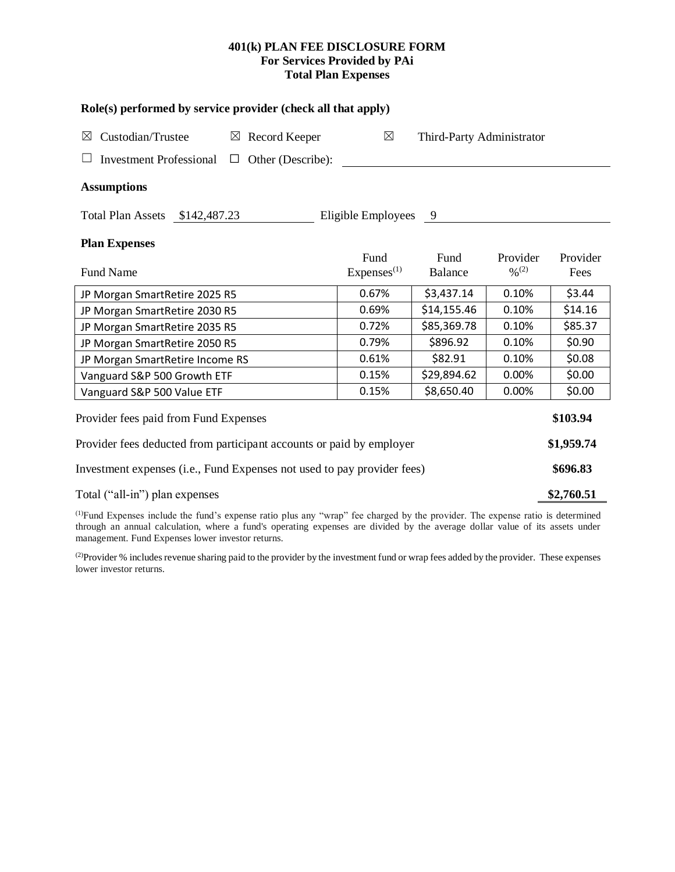# **401(k) PLAN FEE DISCLOSURE FORM For Services Provided by PAi Total Plan Expenses**

| Role(s) performed by service provider (check all that apply)            |                                |                           |                                          |                  |  |  |  |  |  |
|-------------------------------------------------------------------------|--------------------------------|---------------------------|------------------------------------------|------------------|--|--|--|--|--|
| Custodian/Trustee<br>$\boxtimes$ Record Keeper<br>⊠                     | $\boxtimes$                    | Third-Party Administrator |                                          |                  |  |  |  |  |  |
| <b>Investment Professional</b><br>Other (Describe):<br>$\Box$           |                                |                           |                                          |                  |  |  |  |  |  |
| <b>Assumptions</b>                                                      |                                |                           |                                          |                  |  |  |  |  |  |
| Total Plan Assets \$142,487.23                                          | Eligible Employees 9           |                           |                                          |                  |  |  |  |  |  |
| <b>Plan Expenses</b>                                                    |                                |                           |                                          |                  |  |  |  |  |  |
| <b>Fund Name</b>                                                        | Fund<br>Express <sup>(1)</sup> | Fund<br><b>Balance</b>    | Provider<br>$\frac{0}{2}$ <sup>(2)</sup> | Provider<br>Fees |  |  |  |  |  |
| JP Morgan SmartRetire 2025 R5                                           | 0.67%                          | \$3,437.14                | 0.10%                                    | \$3.44           |  |  |  |  |  |
| JP Morgan SmartRetire 2030 R5                                           | 0.69%                          | \$14,155.46               | 0.10%                                    | \$14.16          |  |  |  |  |  |
| JP Morgan SmartRetire 2035 R5                                           | 0.72%                          | \$85,369.78               | 0.10%                                    | \$85.37          |  |  |  |  |  |
| JP Morgan SmartRetire 2050 R5                                           | 0.79%                          | \$896.92                  | 0.10%                                    | \$0.90           |  |  |  |  |  |
| JP Morgan SmartRetire Income RS                                         | 0.61%                          | \$82.91                   | 0.10%                                    | \$0.08           |  |  |  |  |  |
| Vanguard S&P 500 Growth ETF                                             | 0.15%                          | \$29,894.62               | 0.00%                                    | \$0.00           |  |  |  |  |  |
| Vanguard S&P 500 Value ETF                                              | 0.15%                          | \$8,650.40                | 0.00%                                    | \$0.00           |  |  |  |  |  |
| Provider fees paid from Fund Expenses                                   |                                |                           |                                          | \$103.94         |  |  |  |  |  |
| Provider fees deducted from participant accounts or paid by employer    |                                |                           |                                          |                  |  |  |  |  |  |
| Investment expenses (i.e., Fund Expenses not used to pay provider fees) |                                |                           |                                          |                  |  |  |  |  |  |
| Total ("all-in") plan expenses                                          |                                |                           |                                          |                  |  |  |  |  |  |

(1)Fund Expenses include the fund's expense ratio plus any "wrap" fee charged by the provider. The expense ratio is determined through an annual calculation, where a fund's operating expenses are divided by the average dollar value of its assets under management. Fund Expenses lower investor returns.

(2) Provider % includes revenue sharing paid to the provider by the investment fund or wrap fees added by the provider. These expenses lower investor returns.